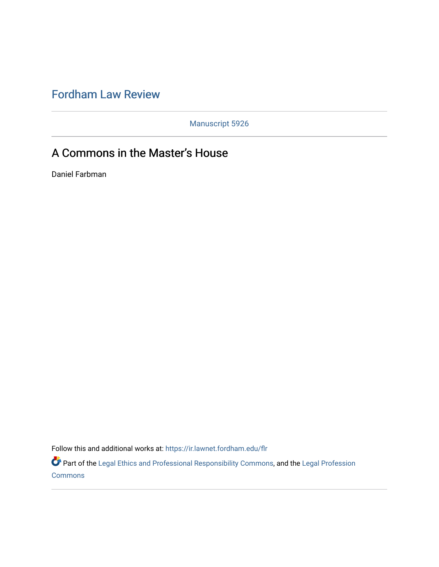# [Fordham Law Review](https://ir.lawnet.fordham.edu/flr)

Manuscript 5926

# A Commons in the Master's House

Daniel Farbman

Follow this and additional works at: [https://ir.lawnet.fordham.edu/flr](https://ir.lawnet.fordham.edu/flr?utm_source=ir.lawnet.fordham.edu%2Fflr%2Fvol90%2Fiss5%2F8&utm_medium=PDF&utm_campaign=PDFCoverPages)

Part of the [Legal Ethics and Professional Responsibility Commons](http://network.bepress.com/hgg/discipline/895?utm_source=ir.lawnet.fordham.edu%2Fflr%2Fvol90%2Fiss5%2F8&utm_medium=PDF&utm_campaign=PDFCoverPages), and the [Legal Profession](http://network.bepress.com/hgg/discipline/1075?utm_source=ir.lawnet.fordham.edu%2Fflr%2Fvol90%2Fiss5%2F8&utm_medium=PDF&utm_campaign=PDFCoverPages) [Commons](http://network.bepress.com/hgg/discipline/1075?utm_source=ir.lawnet.fordham.edu%2Fflr%2Fvol90%2Fiss5%2F8&utm_medium=PDF&utm_campaign=PDFCoverPages)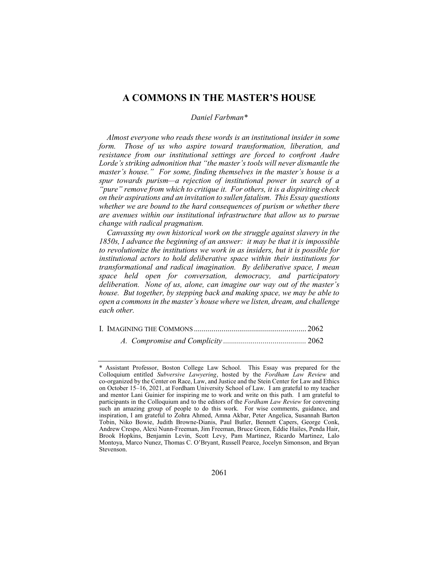# A COMMONS IN THE MASTER'S HOUSE

# Daniel Farbman\*

Almost everyone who reads these words is an institutional insider in some form. Those of us who aspire toward transformation, liberation, and resistance from our institutional settings are forced to confront Audre Lorde's striking admonition that "the master's tools will never dismantle the master's house." For some, finding themselves in the master's house is a spur towards purism—a rejection of institutional power in search of a "pure" remove from which to critique it. For others, it is a dispiriting check on their aspirations and an invitation to sullen fatalism. This Essay questions whether we are bound to the hard consequences of purism or whether there are avenues within our institutional infrastructure that allow us to pursue change with radical pragmatism.

Canvassing my own historical work on the struggle against slavery in the 1850s, I advance the beginning of an answer: it may be that it is impossible to revolutionize the institutions we work in as insiders, but it is possible for institutional actors to hold deliberative space within their institutions for transformational and radical imagination. By deliberative space, I mean space held open for conversation, democracy, and participatory deliberation. None of us, alone, can imagine our way out of the master's house. But together, by stepping back and making space, we may be able to open a commons in the master's house where we listen, dream, and challenge each other.

A. Compromise and Complicity .......................................... 2062

Assistant Professor, Boston College Law School. This Essay was prepared for the Colloquium entitled Subversive Lawyering, hosted by the Fordham Law Review and co-organized by the Center on Race, Law, and Justice and the Stein Center for Law and Ethics on October 15–16, 2021, at Fordham University School of Law. I am grateful to my teacher and mentor Lani Guinier for inspiring me to work and write on this path. I am grateful to participants in the Colloquium and to the editors of the Fordham Law Review for convening such an amazing group of people to do this work. For wise comments, guidance, and inspiration, I am grateful to Zohra Ahmed, Amna Akbar, Peter Angelica, Susannah Barton Tobin, Niko Bowie, Judith Browne-Dianis, Paul Butler, Bennett Capers, George Conk, Andrew Crespo, Alexi Nunn-Freeman, Jim Freeman, Bruce Green, Eddie Hailes, Penda Hair, Brook Hopkins, Benjamin Levin, Scott Levy, Pam Martinez, Ricardo Martinez, Lalo Montoya, Marco Nunez, Thomas C. O'Bryant, Russell Pearce, Jocelyn Simonson, and Bryan Stevenson.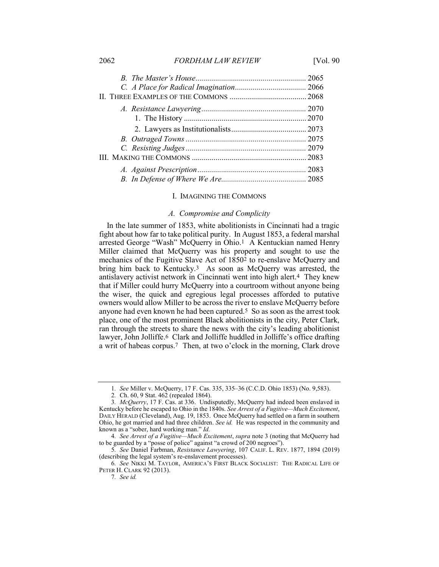2062 FORDHAM LAW REVIEW [Vol. 90]

#### I. IMAGINING THE COMMONS

### A. Compromise and Complicity

In the late summer of 1853, white abolitionists in Cincinnati had a tragic fight about how far to take political purity. In August 1853, a federal marshal arrested George "Wash" McQuerry in Ohio.1 A Kentuckian named Henry Miller claimed that McQuerry was his property and sought to use the mechanics of the Fugitive Slave Act of 18502 to re-enslave McQuerry and bring him back to Kentucky.3 As soon as McQuerry was arrested, the antislavery activist network in Cincinnati went into high alert.4 They knew that if Miller could hurry McQuerry into a courtroom without anyone being the wiser, the quick and egregious legal processes afforded to putative owners would allow Miller to be across the river to enslave McQuerry before anyone had even known he had been captured.5 So as soon as the arrest took place, one of the most prominent Black abolitionists in the city, Peter Clark, ran through the streets to share the news with the city's leading abolitionist lawyer, John Jolliffe.<sup>6</sup> Clark and Jolliffe huddled in Jolliffe's office drafting a writ of habeas corpus.7 Then, at two o'clock in the morning, Clark drove

<sup>1</sup>. See Miller v. McQuerry, 17 F. Cas. 335, 335–36 (C.C.D. Ohio 1853) (No. 9,583).

<sup>2</sup>. Ch. 60, 9 Stat. 462 (repealed 1864).

<sup>3.</sup> McQuerry, 17 F. Cas. at 336. Undisputedly, McQuerry had indeed been enslaved in Kentucky before he escaped to Ohio in the 1840s. See Arrest of a Fugitive—Much Excitement, DAILY HERALD (Cleveland), Aug. 19, 1853. Once McQuerry had settled on a farm in southern Ohio, he got married and had three children. See id. He was respected in the community and known as a "sober, hard working man." Id.

<sup>4.</sup> See Arrest of a Fugitive—Much Excitement, supra note 3 (noting that McQuerry had to be guarded by a "posse of police" against "a crowd of 200 negroes").

<sup>5</sup>. See Daniel Farbman, Resistance Lawyering, 107 CALIF. L. REV. 1877, 1894 (2019) (describing the legal system's re-enslavement processes).

<sup>6</sup>. See NIKKI M. TAYLOR, AMERICA'S FIRST BLACK SOCIALIST: THE RADICAL LIFE OF PETER H. CLARK 92 (2013).

<sup>7</sup>. See id.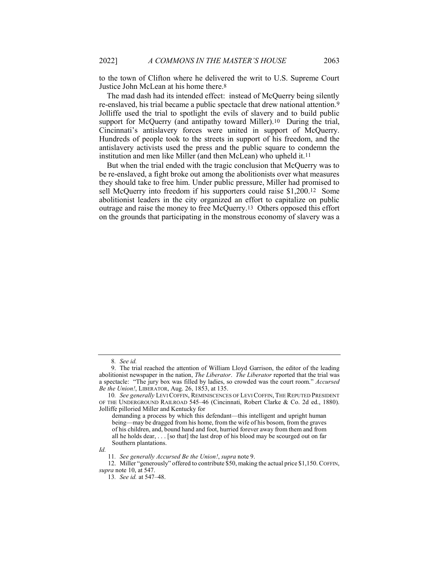to the town of Clifton where he delivered the writ to U.S. Supreme Court Justice John McLean at his home there.8

The mad dash had its intended effect: instead of McQuerry being silently re-enslaved, his trial became a public spectacle that drew national attention.9 Jolliffe used the trial to spotlight the evils of slavery and to build public support for McQuerry (and antipathy toward Miller).<sup>10</sup> During the trial, Cincinnati's antislavery forces were united in support of McQuerry. Hundreds of people took to the streets in support of his freedom, and the antislavery activists used the press and the public square to condemn the institution and men like Miller (and then McLean) who upheld it.11

But when the trial ended with the tragic conclusion that McQuerry was to be re-enslaved, a fight broke out among the abolitionists over what measures they should take to free him. Under public pressure, Miller had promised to sell McQuerry into freedom if his supporters could raise \$1,200.12 Some abolitionist leaders in the city organized an effort to capitalize on public outrage and raise the money to free McQuerry.13 Others opposed this effort on the grounds that participating in the monstrous economy of slavery was a

 12. Miller "generously" offered to contribute \$50, making the actual price \$1,150. COFFIN, supra note 10, at 547.

<sup>8</sup>. See id.

 <sup>9.</sup> The trial reached the attention of William Lloyd Garrison, the editor of the leading abolitionist newspaper in the nation, *The Liberator*. The Liberator reported that the trial was a spectacle: "The jury box was filled by ladies, so crowded was the court room." Accursed Be the Union!, LIBERATOR, Aug. 26, 1853, at 135.

<sup>10.</sup> See generally LEVI COFFIN, REMINISCENCES OF LEVI COFFIN, THE REPUTED PRESIDENT OF THE UNDERGROUND RAILROAD 545–46 (Cincinnati, Robert Clarke & Co. 2d ed., 1880). Jolliffe pilloried Miller and Kentucky for

demanding a process by which this defendant—this intelligent and upright human being—may be dragged from his home, from the wife of his bosom, from the graves of his children, and, bound hand and foot, hurried forever away from them and from all he holds dear, . . . [so that] the last drop of his blood may be scourged out on far Southern plantations.

Id.

<sup>11.</sup> See generally Accursed Be the Union!, supra note 9.

<sup>13</sup>. See id. at 547–48.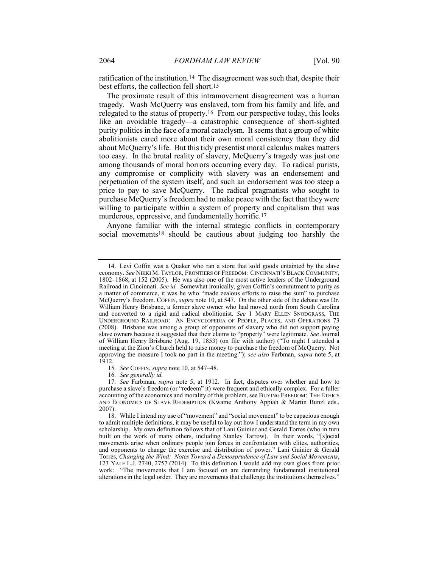ratification of the institution.14 The disagreement was such that, despite their best efforts, the collection fell short.15

The proximate result of this intramovement disagreement was a human tragedy. Wash McQuerry was enslaved, torn from his family and life, and relegated to the status of property.16 From our perspective today, this looks like an avoidable tragedy—a catastrophic consequence of short-sighted purity politics in the face of a moral cataclysm. It seems that a group of white abolitionists cared more about their own moral consistency than they did about McQuerry's life. But this tidy presentist moral calculus makes matters too easy. In the brutal reality of slavery, McQuerry's tragedy was just one among thousands of moral horrors occurring every day. To radical purists, any compromise or complicity with slavery was an endorsement and perpetuation of the system itself, and such an endorsement was too steep a price to pay to save McQuerry. The radical pragmatists who sought to purchase McQuerry's freedom had to make peace with the fact that they were willing to participate within a system of property and capitalism that was murderous, oppressive, and fundamentally horrific.17

Anyone familiar with the internal strategic conflicts in contemporary social movements<sup>18</sup> should be cautious about judging too harshly the

15. See COFFIN, supra note 10, at 547–48.

16. See generally id.

 <sup>14.</sup> Levi Coffin was a Quaker who ran a store that sold goods untainted by the slave economy. See NIKKI M. TAYLOR, FRONTIERS OF FREEDOM: CINCINNATI'S BLACK COMMUNITY, 1802–1868, at 152 (2005). He was also one of the most active leaders of the Underground Railroad in Cincinnati. See id. Somewhat ironically, given Coffin's commitment to purity as a matter of commerce, it was he who "made zealous efforts to raise the sum" to purchase McQuerry's freedom. COFFIN, supra note 10, at 547. On the other side of the debate was Dr. William Henry Brisbane, a former slave owner who had moved north from South Carolina and converted to a rigid and radical abolitionist. See 1 MARY ELLEN SNODGRASS, THE UNDERGROUND RAILROAD: AN ENCYCLOPEDIA OF PEOPLE, PLACES, AND OPERATIONS 73 (2008). Brisbane was among a group of opponents of slavery who did not support paying slave owners because it suggested that their claims to "property" were legitimate. See Journal of William Henry Brisbane (Aug. 19, 1853) (on file with author) ("To night I attended a meeting at the Zion's Church held to raise money to purchase the freedom of McQuerry. Not approving the measure I took no part in the meeting."); see also Farbman, supra note 5, at 1912.

<sup>17</sup>. See Farbman, supra note 5, at 1912. In fact, disputes over whether and how to purchase a slave's freedom (or "redeem" it) were frequent and ethically complex. For a fuller accounting of the economics and morality of this problem, see BUYING FREEDOM: THE ETHICS AND ECONOMICS OF SLAVE REDEMPTION (Kwame Anthony Appiah & Martin Bunzl eds., 2007).

 <sup>18.</sup> While I intend my use of "movement" and "social movement" to be capacious enough to admit multiple definitions, it may be useful to lay out how I understand the term in my own scholarship. My own definition follows that of Lani Guinier and Gerald Torres (who in turn built on the work of many others, including Stanley Tarrow). In their words, "[s]ocial movements arise when ordinary people join forces in confrontation with elites, authorities, and opponents to change the exercise and distribution of power." Lani Guinier & Gerald Torres, Changing the Wind: Notes Toward a Demosprudence of Law and Social Movements, 123 YALE L.J. 2740, 2757 (2014). To this definition I would add my own gloss from prior work: "The movements that I am focused on are demanding fundamental institutional alterations in the legal order. They are movements that challenge the institutions themselves."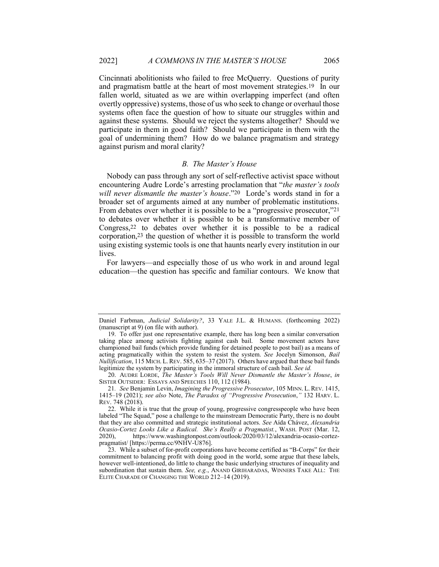Cincinnati abolitionists who failed to free McQuerry. Questions of purity and pragmatism battle at the heart of most movement strategies.19 In our fallen world, situated as we are within overlapping imperfect (and often overtly oppressive) systems, those of us who seek to change or overhaul those systems often face the question of how to situate our struggles within and against these systems. Should we reject the systems altogether? Should we participate in them in good faith? Should we participate in them with the goal of undermining them? How do we balance pragmatism and strategy against purism and moral clarity?

#### B. The Master's House

Nobody can pass through any sort of self-reflective activist space without encountering Audre Lorde's arresting proclamation that "the master's tools will never dismantle the master's house."20 Lorde's words stand in for a broader set of arguments aimed at any number of problematic institutions. From debates over whether it is possible to be a "progressive prosecutor,"21 to debates over whether it is possible to be a transformative member of Congress,22 to debates over whether it is possible to be a radical corporation,23 the question of whether it is possible to transform the world using existing systemic tools is one that haunts nearly every institution in our lives.

For lawyers—and especially those of us who work in and around legal education—the question has specific and familiar contours. We know that

Daniel Farbman, Judicial Solidarity?, 33 YALE J.L. & HUMANS. (forthcoming 2022) (manuscript at 9) (on file with author).

 <sup>19.</sup> To offer just one representative example, there has long been a similar conversation taking place among activists fighting against cash bail. Some movement actors have championed bail funds (which provide funding for detained people to post bail) as a means of acting pragmatically within the system to resist the system. See Jocelyn Simonson, Bail Nullification, 115 MICH. L.REV. 585, 635–37 (2017). Others have argued that these bail funds legitimize the system by participating in the immoral structure of cash bail. See id.

 <sup>20.</sup> AUDRE LORDE, The Master's Tools Will Never Dismantle the Master's House, in SISTER OUTSIDER: ESSAYS AND SPEECHES 110, 112 (1984).

<sup>21.</sup> See Benjamin Levin, Imagining the Progressive Prosecutor, 105 MINN. L. REV. 1415, 1415–19 (2021); see also Note, The Paradox of "Progressive Prosecution," 132 HARV. L. REV. 748 (2018).

 <sup>22.</sup> While it is true that the group of young, progressive congresspeople who have been labeled "The Squad," pose a challenge to the mainstream Democratic Party, there is no doubt that they are also committed and strategic institutional actors. See Aída Chávez, Alexandria Ocasio-Cortez Looks Like a Radical. She's Really a Pragmatist., WASH. POST (Mar. 12, 2020), https://www.washingtonpost.com/outlook/2020/03/12/alexandria-ocasio-cortezpragmatist/ [https://perma.cc/9NHV-U876].

 <sup>23.</sup> While a subset of for-profit corporations have become certified as "B-Corps" for their commitment to balancing profit with doing good in the world, some argue that these labels, however well-intentioned, do little to change the basic underlying structures of inequality and subordination that sustain them. See, e.g., ANAND GIRIHARADAS, WINNERS TAKE ALL: THE ELITE CHARADE OF CHANGING THE WORLD 212–14 (2019).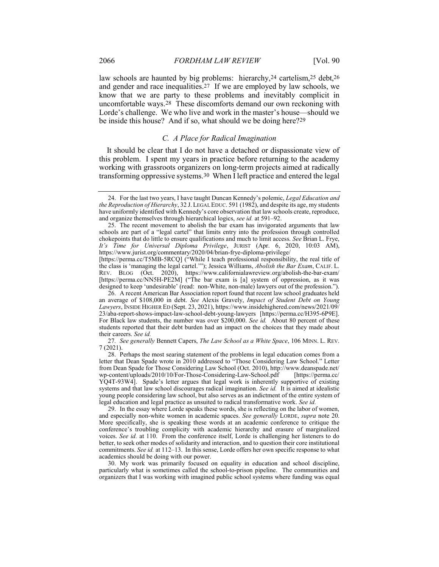law schools are haunted by big problems: hierarchy,<sup>24</sup> cartelism,<sup>25</sup> debt,<sup>26</sup> and gender and race inequalities.27 If we are employed by law schools, we know that we are party to these problems and inevitably complicit in uncomfortable ways.28 These discomforts demand our own reckoning with Lorde's challenge. We who live and work in the master's house—should we be inside this house? And if so, what should we be doing here?29

## C. A Place for Radical Imagination

It should be clear that I do not have a detached or dispassionate view of this problem. I spent my years in practice before returning to the academy working with grassroots organizers on long-term projects aimed at radically transforming oppressive systems.30 When I left practice and entered the legal

[https://perma.cc/T5MB-5RCQ] ("While I teach professional responsibility, the real title of the class is 'managing the legal cartel.'"); Jessica Williams, Abolish the Bar Exam, CALIF. L. REV. BLOG (Oct. 2020), https://www.californialawreview.org/abolish-the-bar-exam/ [https://perma.cc/NN5H-PE2M] ("The bar exam is [a] system of oppression, as it was designed to keep 'undesirable' (read: non-White, non-male) lawyers out of the profession.").

 26. A recent American Bar Association report found that recent law school graduates held an average of \$108,000 in debt. See Alexis Gravely, Impact of Student Debt on Young Lawyers, INSIDE HIGHER ED (Sept. 23, 2021), https://www.insidehighered.com/news/2021/09/ 23/aba-report-shows-impact-law-school-debt-young-lawyers [https://perma.cc/H395-6P9E]. For Black law students, the number was over \$200,000. See id. About 80 percent of these students reported that their debt burden had an impact on the choices that they made about their careers. See id.

27. See generally Bennett Capers, The Law School as a White Space, 106 MINN. L. REV. 7 (2021).

 28. Perhaps the most searing statement of the problems in legal education comes from a letter that Dean Spade wrote in 2010 addressed to "Those Considering Law School." Letter from Dean Spade for Those Considering Law School (Oct. 2010), http://www.deanspade.net/ wp-content/uploads/2010/10/For-Those-Considering-Law-School.pdf [https://perma.cc/ YQ4T-93W4]. Spade's letter argues that legal work is inherently supportive of existing systems and that law school discourages radical imagination. See id. It is aimed at idealistic young people considering law school, but also serves as an indictment of the entire system of legal education and legal practice as unsuited to radical transformative work. See id.

 29. In the essay where Lorde speaks these words, she is reflecting on the labor of women, and especially non-white women in academic spaces. See generally LORDE, supra note 20. More specifically, she is speaking these words at an academic conference to critique the conference's troubling complicity with academic hierarchy and erasure of marginalized voices. See id. at 110. From the conference itself, Lorde is challenging her listeners to do better, to seek other modes of solidarity and interaction, and to question their core institutional commitments. See id. at 112–13. In this sense, Lorde offers her own specific response to what academics should be doing with our power.

 30. My work was primarily focused on equality in education and school discipline, particularly what is sometimes called the school-to-prison pipeline. The communities and organizers that I was working with imagined public school systems where funding was equal

<sup>24.</sup> For the last two years, I have taught Duncan Kennedy's polemic, *Legal Education and* the Reproduction of Hierarchy, 32 J. LEGAL EDUC. 591 (1982), and despite its age, my students have uniformly identified with Kennedy's core observation that law schools create, reproduce, and organize themselves through hierarchical logics, see id. at 591–92.

 <sup>25.</sup> The recent movement to abolish the bar exam has invigorated arguments that law schools are part of a "legal cartel" that limits entry into the profession through controlled chokepoints that do little to ensure qualifications and much to limit access. See Brian L. Frye, It's Time for Universal Diploma Privilege, JURIST (Apr. 6, 2020, 10:03 AM), https://www.jurist.org/commentary/2020/04/brian-frye-diploma-privilege/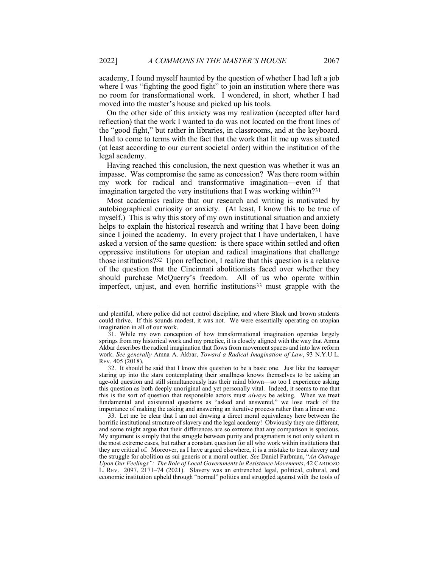academy, I found myself haunted by the question of whether I had left a job where I was "fighting the good fight" to join an institution where there was no room for transformational work. I wondered, in short, whether I had moved into the master's house and picked up his tools.

On the other side of this anxiety was my realization (accepted after hard reflection) that the work I wanted to do was not located on the front lines of the "good fight," but rather in libraries, in classrooms, and at the keyboard. I had to come to terms with the fact that the work that lit me up was situated (at least according to our current societal order) within the institution of the legal academy.

Having reached this conclusion, the next question was whether it was an impasse. Was compromise the same as concession? Was there room within my work for radical and transformative imagination—even if that imagination targeted the very institutions that I was working within?31

Most academics realize that our research and writing is motivated by autobiographical curiosity or anxiety. (At least, I know this to be true of myself.) This is why this story of my own institutional situation and anxiety helps to explain the historical research and writing that I have been doing since I joined the academy. In every project that I have undertaken, I have asked a version of the same question: is there space within settled and often oppressive institutions for utopian and radical imaginations that challenge those institutions?32 Upon reflection, I realize that this question is a relative of the question that the Cincinnati abolitionists faced over whether they should purchase McQuerry's freedom. All of us who operate within imperfect, unjust, and even horrific institutions33 must grapple with the

 33. Let me be clear that I am not drawing a direct moral equivalency here between the horrific institutional structure of slavery and the legal academy! Obviously they are different, and some might argue that their differences are so extreme that any comparison is specious. My argument is simply that the struggle between purity and pragmatism is not only salient in the most extreme cases, but rather a constant question for all who work within institutions that they are critical of. Moreover, as I have argued elsewhere, it is a mistake to treat slavery and the struggle for abolition as sui generis or a moral outlier. See Daniel Farbman, "An Outrage Upon Our Feelings": The Role of Local Governments in Resistance Movements, 42 CARDOZO L. REV. 2097, 2171–74 (2021). Slavery was an entrenched legal, political, cultural, and economic institution upheld through "normal" politics and struggled against with the tools of

and plentiful, where police did not control discipline, and where Black and brown students could thrive. If this sounds modest, it was not. We were essentially operating on utopian imagination in all of our work.

 <sup>31.</sup> While my own conception of how transformational imagination operates largely springs from my historical work and my practice, it is closely aligned with the way that Amna Akbar describes the radical imagination that flows from movement spaces and into law reform work. See generally Amna A. Akbar, Toward a Radical Imagination of Law, 93 N.Y.U L. REV. 405 (2018).

 <sup>32.</sup> It should be said that I know this question to be a basic one. Just like the teenager staring up into the stars contemplating their smallness knows themselves to be asking an age-old question and still simultaneously has their mind blown—so too I experience asking this question as both deeply unoriginal and yet personally vital. Indeed, it seems to me that this is the sort of question that responsible actors must always be asking. When we treat fundamental and existential questions as "asked and answered," we lose track of the importance of making the asking and answering an iterative process rather than a linear one.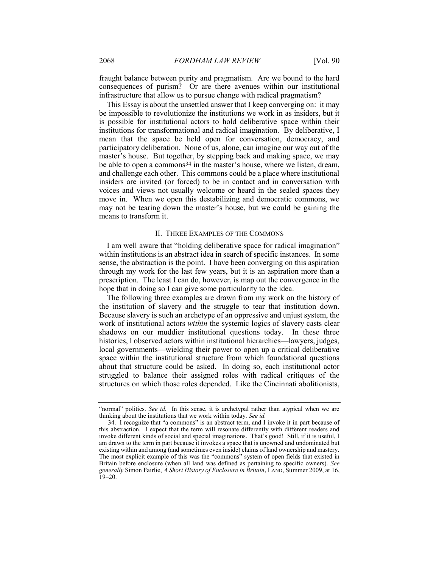fraught balance between purity and pragmatism. Are we bound to the hard consequences of purism? Or are there avenues within our institutional infrastructure that allow us to pursue change with radical pragmatism?

This Essay is about the unsettled answer that I keep converging on: it may be impossible to revolutionize the institutions we work in as insiders, but it is possible for institutional actors to hold deliberative space within their institutions for transformational and radical imagination. By deliberative, I mean that the space be held open for conversation, democracy, and participatory deliberation. None of us, alone, can imagine our way out of the master's house. But together, by stepping back and making space, we may be able to open a commons<sup>34</sup> in the master's house, where we listen, dream, and challenge each other. This commons could be a place where institutional insiders are invited (or forced) to be in contact and in conversation with voices and views not usually welcome or heard in the sealed spaces they move in. When we open this destabilizing and democratic commons, we may not be tearing down the master's house, but we could be gaining the means to transform it.

### II. THREE EXAMPLES OF THE COMMONS

I am well aware that "holding deliberative space for radical imagination" within institutions is an abstract idea in search of specific instances. In some sense, the abstraction is the point. I have been converging on this aspiration through my work for the last few years, but it is an aspiration more than a prescription. The least I can do, however, is map out the convergence in the hope that in doing so I can give some particularity to the idea.

The following three examples are drawn from my work on the history of the institution of slavery and the struggle to tear that institution down. Because slavery is such an archetype of an oppressive and unjust system, the work of institutional actors within the systemic logics of slavery casts clear shadows on our muddier institutional questions today. In these three histories, I observed actors within institutional hierarchies—lawyers, judges, local governments—wielding their power to open up a critical deliberative space within the institutional structure from which foundational questions about that structure could be asked. In doing so, each institutional actor struggled to balance their assigned roles with radical critiques of the structures on which those roles depended. Like the Cincinnati abolitionists,

<sup>&</sup>quot;normal" politics. See id. In this sense, it is archetypal rather than atypical when we are thinking about the institutions that we work within today. See id.

 <sup>34.</sup> I recognize that "a commons" is an abstract term, and I invoke it in part because of this abstraction. I expect that the term will resonate differently with different readers and invoke different kinds of social and special imaginations. That's good! Still, if it is useful, I am drawn to the term in part because it invokes a space that is unowned and undominated but existing within and among (and sometimes even inside) claims of land ownership and mastery. The most explicit example of this was the "commons" system of open fields that existed in Britain before enclosure (when all land was defined as pertaining to specific owners). See generally Simon Fairlie, A Short History of Enclosure in Britain, LAND, Summer 2009, at 16, 19–20.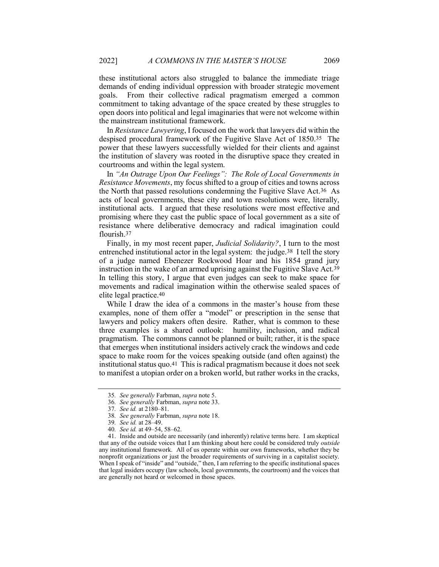these institutional actors also struggled to balance the immediate triage demands of ending individual oppression with broader strategic movement goals. From their collective radical pragmatism emerged a common commitment to taking advantage of the space created by these struggles to open doors into political and legal imaginaries that were not welcome within the mainstream institutional framework.

In Resistance Lawyering, I focused on the work that lawyers did within the despised procedural framework of the Fugitive Slave Act of 1850.35 The power that these lawyers successfully wielded for their clients and against the institution of slavery was rooted in the disruptive space they created in courtrooms and within the legal system.

In "An Outrage Upon Our Feelings": The Role of Local Governments in Resistance Movements, my focus shifted to a group of cities and towns across the North that passed resolutions condemning the Fugitive Slave Act.36 As acts of local governments, these city and town resolutions were, literally, institutional acts. I argued that these resolutions were most effective and promising where they cast the public space of local government as a site of resistance where deliberative democracy and radical imagination could flourish.37

Finally, in my most recent paper, *Judicial Solidarity?*, I turn to the most entrenched institutional actor in the legal system: the judge.38 I tell the story of a judge named Ebenezer Rockwood Hoar and his 1854 grand jury instruction in the wake of an armed uprising against the Fugitive Slave Act.39 In telling this story, I argue that even judges can seek to make space for movements and radical imagination within the otherwise sealed spaces of elite legal practice.40

While I draw the idea of a commons in the master's house from these examples, none of them offer a "model" or prescription in the sense that lawyers and policy makers often desire. Rather, what is common to these three examples is a shared outlook: humility, inclusion, and radical pragmatism. The commons cannot be planned or built; rather, it is the space that emerges when institutional insiders actively crack the windows and cede space to make room for the voices speaking outside (and often against) the institutional status quo.41 This is radical pragmatism because it does not seek to manifest a utopian order on a broken world, but rather works in the cracks,

<sup>35</sup>. See generally Farbman, supra note 5.

<sup>36</sup>. See generally Farbman, supra note 33.

<sup>37</sup>. See id. at 2180–81.

<sup>38</sup>. See generally Farbman, supra note 18.

<sup>39</sup>. See id. at 28–49.

<sup>40</sup>. See id. at 49–54, 58–62.

 <sup>41.</sup> Inside and outside are necessarily (and inherently) relative terms here. I am skeptical that any of the outside voices that I am thinking about here could be considered truly *outside* any institutional framework. All of us operate within our own frameworks, whether they be nonprofit organizations or just the broader requirements of surviving in a capitalist society. When I speak of "inside" and "outside," then, I am referring to the specific institutional spaces that legal insiders occupy (law schools, local governments, the courtroom) and the voices that are generally not heard or welcomed in those spaces.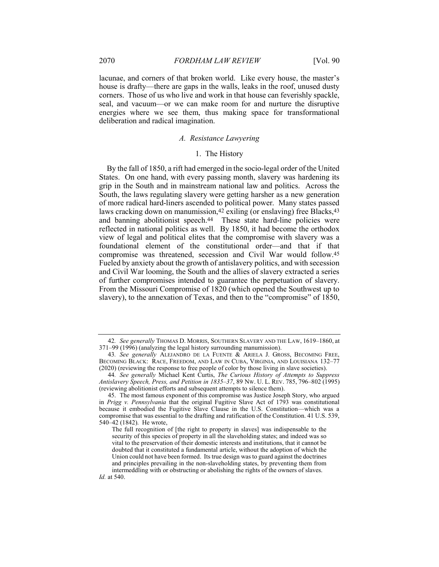lacunae, and corners of that broken world. Like every house, the master's house is drafty—there are gaps in the walls, leaks in the roof, unused dusty corners. Those of us who live and work in that house can feverishly spackle, seal, and vacuum—or we can make room for and nurture the disruptive energies where we see them, thus making space for transformational deliberation and radical imagination.

## A. Resistance Lawyering

## 1. The History

By the fall of 1850, a rift had emerged in the socio-legal order of the United States. On one hand, with every passing month, slavery was hardening its grip in the South and in mainstream national law and politics. Across the South, the laws regulating slavery were getting harsher as a new generation of more radical hard-liners ascended to political power. Many states passed laws cracking down on manumission, <sup>42</sup> exiling (or enslaving) free Blacks, <sup>43</sup> and banning abolitionist speech.<sup>44</sup> These state hard-line policies were reflected in national politics as well. By 1850, it had become the orthodox view of legal and political elites that the compromise with slavery was a foundational element of the constitutional order—and that if that compromise was threatened, secession and Civil War would follow.45 Fueled by anxiety about the growth of antislavery politics, and with secession and Civil War looming, the South and the allies of slavery extracted a series of further compromises intended to guarantee the perpetuation of slavery. From the Missouri Compromise of 1820 (which opened the Southwest up to slavery), to the annexation of Texas, and then to the "compromise" of 1850,

<sup>42</sup>. See generally THOMAS D. MORRIS, SOUTHERN SLAVERY AND THE LAW, 1619–1860, at 371–99 (1996) (analyzing the legal history surrounding manumission).

<sup>43.</sup> See generally ALEJANDRO DE LA FUENTE & ARIELA J. GROSS, BECOMING FREE, BECOMING BLACK: RACE, FREEDOM, AND LAW IN CUBA, VIRGINIA, AND LOUISIANA 132–77 (2020) (reviewing the response to free people of color by those living in slave societies).

<sup>44.</sup> See generally Michael Kent Curtis, The Curious History of Attempts to Suppress Antislavery Speech, Press, and Petition in 1835–37, 89 NW. U. L. REV. 785, 796–802 (1995) (reviewing abolitionist efforts and subsequent attempts to silence them).

 <sup>45.</sup> The most famous exponent of this compromise was Justice Joseph Story, who argued in Prigg v. Pennsylvania that the original Fugitive Slave Act of 1793 was constitutional because it embodied the Fugitive Slave Clause in the U.S. Constitution—which was a compromise that was essential to the drafting and ratification of the Constitution. 41 U.S. 539, 540–42 (1842). He wrote,

The full recognition of [the right to property in slaves] was indispensable to the security of this species of property in all the slaveholding states; and indeed was so vital to the preservation of their domestic interests and institutions, that it cannot be doubted that it constituted a fundamental article, without the adoption of which the Union could not have been formed. Its true design was to guard against the doctrines and principles prevailing in the non-slaveholding states, by preventing them from intermeddling with or obstructing or abolishing the rights of the owners of slaves. Id. at 540.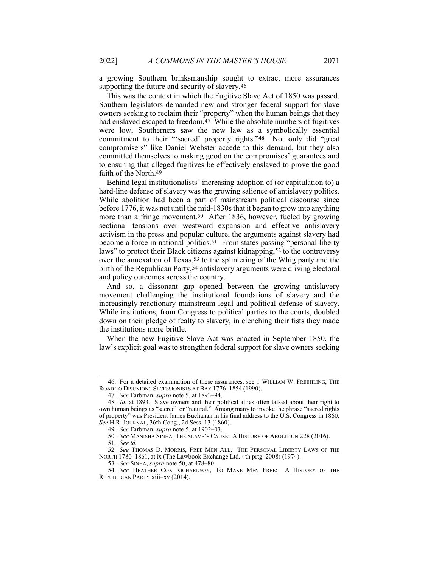a growing Southern brinksmanship sought to extract more assurances supporting the future and security of slavery.46

This was the context in which the Fugitive Slave Act of 1850 was passed. Southern legislators demanded new and stronger federal support for slave owners seeking to reclaim their "property" when the human beings that they had enslaved escaped to freedom.<sup>47</sup> While the absolute numbers of fugitives were low, Southerners saw the new law as a symbolically essential commitment to their "'sacred' property rights."48 Not only did "great compromisers" like Daniel Webster accede to this demand, but they also committed themselves to making good on the compromises' guarantees and to ensuring that alleged fugitives be effectively enslaved to prove the good faith of the North.49

Behind legal institutionalists' increasing adoption of (or capitulation to) a hard-line defense of slavery was the growing salience of antislavery politics. While abolition had been a part of mainstream political discourse since before 1776, it was not until the mid-1830s that it began to grow into anything more than a fringe movement.<sup>50</sup> After 1836, however, fueled by growing sectional tensions over westward expansion and effective antislavery activism in the press and popular culture, the arguments against slavery had become a force in national politics.<sup>51</sup> From states passing "personal liberty laws" to protect their Black citizens against kidnapping,<sup>52</sup> to the controversy over the annexation of Texas,<sup>53</sup> to the splintering of the Whig party and the birth of the Republican Party,<sup>54</sup> antislavery arguments were driving electoral and policy outcomes across the country.

And so, a dissonant gap opened between the growing antislavery movement challenging the institutional foundations of slavery and the increasingly reactionary mainstream legal and political defense of slavery. While institutions, from Congress to political parties to the courts, doubled down on their pledge of fealty to slavery, in clenching their fists they made the institutions more brittle.

When the new Fugitive Slave Act was enacted in September 1850, the law's explicit goal was to strengthen federal support for slave owners seeking

 <sup>46.</sup> For a detailed examination of these assurances, see 1 WILLIAM W. FREEHLING, THE ROAD TO DISUNION: SECESSIONISTS AT BAY 1776–1854 (1990).

<sup>47</sup>. See Farbman, supra note 5, at 1893–94.

<sup>48</sup>. Id. at 1893. Slave owners and their political allies often talked about their right to own human beings as "sacred" or "natural." Among many to invoke the phrase "sacred rights of property" was President James Buchanan in his final address to the U.S. Congress in 1860. See H.R. JOURNAL, 36th Cong., 2d Sess. 13 (1860).

<sup>49.</sup> See Farbman, supra note 5, at 1902-03.

<sup>50</sup>. See MANISHA SINHA, THE SLAVE'S CAUSE: A HISTORY OF ABOLITION 228 (2016).

<sup>51</sup>. See id.

<sup>52</sup>. See THOMAS D. MORRIS, FREE MEN ALL: THE PERSONAL LIBERTY LAWS OF THE NORTH 1780–1861, at ix (The Lawbook Exchange Ltd. 4th prtg. 2008) (1974).

<sup>53</sup>. See SINHA, supra note 50, at 478–80.

<sup>54</sup>. See HEATHER COX RICHARDSON, TO MAKE MEN FREE: A HISTORY OF THE REPUBLICAN PARTY xiii–xv (2014).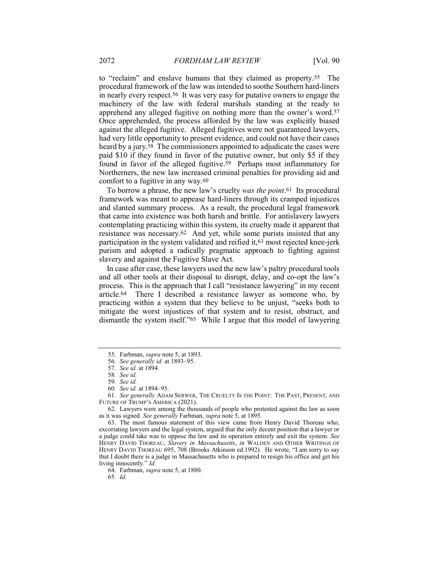to "reclaim" and enslave humans that they claimed as property.55 The procedural framework of the law was intended to soothe Southern hard-liners in nearly every respect.56 It was very easy for putative owners to engage the machinery of the law with federal marshals standing at the ready to apprehend any alleged fugitive on nothing more than the owner's word.57 Once apprehended, the process afforded by the law was explicitly biased against the alleged fugitive. Alleged fugitives were not guaranteed lawyers, had very little opportunity to present evidence, and could not have their cases heard by a jury.<sup>58</sup> The commissioners appointed to adjudicate the cases were paid \$10 if they found in favor of the putative owner, but only \$5 if they found in favor of the alleged fugitive.59 Perhaps most inflammatory for Northerners, the new law increased criminal penalties for providing aid and comfort to a fugitive in any way.60

To borrow a phrase, the new law's cruelty was the point.<sup>61</sup> Its procedural framework was meant to appease hard-liners through its cramped injustices and slanted summary process. As a result, the procedural legal framework that came into existence was both harsh and brittle. For antislavery lawyers contemplating practicing within this system, its cruelty made it apparent that resistance was necessary.62 And yet, while some purists insisted that any participation in the system validated and reified it,63 most rejected knee-jerk purism and adopted a radically pragmatic approach to fighting against slavery and against the Fugitive Slave Act.

In case after case, these lawyers used the new law's paltry procedural tools and all other tools at their disposal to disrupt, delay, and co-opt the law's process. This is the approach that I call "resistance lawyering" in my recent article.64 There I described a resistance lawyer as someone who, by practicing within a system that they believe to be unjust, "seeks both to mitigate the worst injustices of that system and to resist, obstruct, and dismantle the system itself."65 While I argue that this model of lawyering

 63. The most famous statement of this view came from Henry David Thoreau who, excoriating lawyers and the legal system, argued that the only decent position that a lawyer or a judge could take was to oppose the law and its operation entirely and exit the system. See HENRY DAVID THOREAU, Slavery in Massachusetts, in WALDEN AND OTHER WRITINGS OF HENRY DAVID THOREAU 695, 708 (Brooks Atkinson ed.1992). He wrote, "I am sorry to say that I doubt there is a judge in Massachusetts who is prepared to resign his office and get his living innocently." Id.

64. Farbman, supra note 5, at 1880.

65. Id.

<sup>55.</sup> Farbman, *supra* note 5, at 1893.

<sup>56.</sup> See generally id. at 1893–95.

<sup>57</sup>. See id. at 1894.

<sup>58</sup>. See id.

<sup>59</sup>. See id.

<sup>60</sup>. See id. at 1894–95.

<sup>61</sup>. See generally ADAM SERWER, THE CRUELTY IS THE POINT: THE PAST, PRESENT, AND FUTURE OF TRUMP'S AMERICA (2021).

 <sup>62.</sup> Lawyers were among the thousands of people who protested against the law as soon as it was signed. See generally Farbman, supra note 5, at 1895.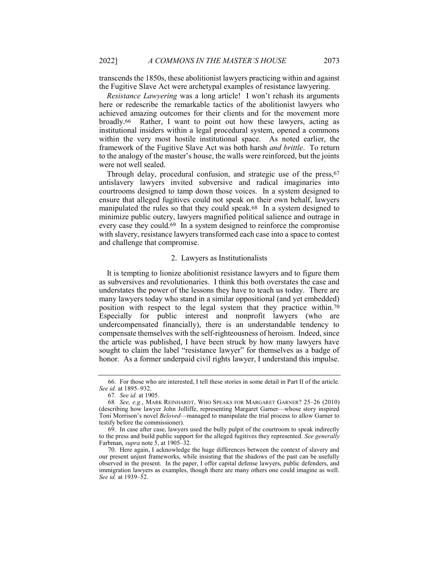transcends the 1850s, these abolitionist lawyers practicing within and against the Fugitive Slave Act were archetypal examples of resistance lawyering.

Resistance Lawyering was a long article! I won't rehash its arguments here or redescribe the remarkable tactics of the abolitionist lawyers who achieved amazing outcomes for their clients and for the movement more broadly.66 Rather, I want to point out how these lawyers, acting as institutional insiders within a legal procedural system, opened a commons within the very most hostile institutional space. As noted earlier, the framework of the Fugitive Slave Act was both harsh *and brittle*. To return to the analogy of the master's house, the walls were reinforced, but the joints were not well sealed.

Through delay, procedural confusion, and strategic use of the press, 67 antislavery lawyers invited subversive and radical imaginaries into courtrooms designed to tamp down those voices. In a system designed to ensure that alleged fugitives could not speak on their own behalf, lawyers manipulated the rules so that they could speak.68 In a system designed to minimize public outcry, lawyers magnified political salience and outrage in every case they could.69 In a system designed to reinforce the compromise with slavery, resistance lawyers transformed each case into a space to contest and challenge that compromise.

#### 2. Lawyers as Institutionalists

It is tempting to lionize abolitionist resistance lawyers and to figure them as subversives and revolutionaries. I think this both overstates the case and understates the power of the lessons they have to teach us today. There are many lawyers today who stand in a similar oppositional (and yet embedded) position with respect to the legal system that they practice within.70 Especially for public interest and nonprofit lawyers (who are undercompensated financially), there is an understandable tendency to compensate themselves with the self-righteousness of heroism. Indeed, since the article was published, I have been struck by how many lawyers have sought to claim the label "resistance lawyer" for themselves as a badge of honor. As a former underpaid civil rights lawyer, I understand this impulse.

 <sup>66.</sup> For those who are interested, I tell these stories in some detail in Part II of the article. See id. at 1895–932.

<sup>67</sup>. See id. at 1905.

<sup>68</sup>. See, e.g., MARK REINHARDT, WHO SPEAKS FOR MARGARET GARNER? 25–26 (2010) (describing how lawyer John Jolliffe, representing Margaret Garner—whose story inspired Toni Morrison's novel Beloved—managed to manipulate the trial process to allow Garner to testify before the commissioner).

 <sup>69.</sup> In case after case, lawyers used the bully pulpit of the courtroom to speak indirectly to the press and build public support for the alleged fugitives they represented. See generally Farbman, supra note 5, at 1905–32.

 <sup>70.</sup> Here again, I acknowledge the huge differences between the context of slavery and our present unjust frameworks, while insisting that the shadows of the past can be usefully observed in the present. In the paper, I offer capital defense lawyers, public defenders, and immigration lawyers as examples, though there are many others one could imagine as well. See id. at 1939–52.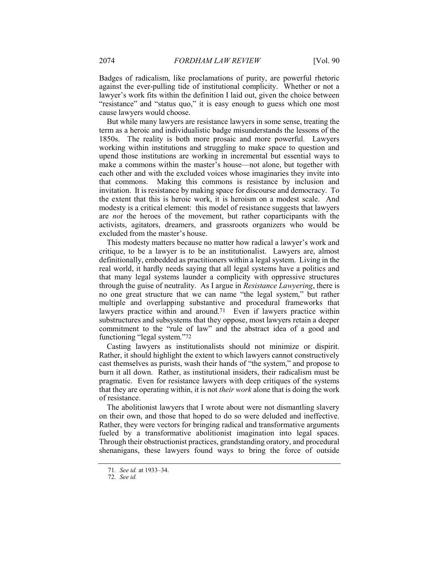Badges of radicalism, like proclamations of purity, are powerful rhetoric against the ever-pulling tide of institutional complicity. Whether or not a lawyer's work fits within the definition I laid out, given the choice between "resistance" and "status quo," it is easy enough to guess which one most cause lawyers would choose.

But while many lawyers are resistance lawyers in some sense, treating the term as a heroic and individualistic badge misunderstands the lessons of the 1850s. The reality is both more prosaic and more powerful. Lawyers working within institutions and struggling to make space to question and upend those institutions are working in incremental but essential ways to make a commons within the master's house—not alone, but together with each other and with the excluded voices whose imaginaries they invite into that commons. Making this commons is resistance by inclusion and invitation. It is resistance by making space for discourse and democracy. To the extent that this is heroic work, it is heroism on a modest scale. And modesty is a critical element: this model of resistance suggests that lawyers are not the heroes of the movement, but rather coparticipants with the activists, agitators, dreamers, and grassroots organizers who would be excluded from the master's house.

This modesty matters because no matter how radical a lawyer's work and critique, to be a lawyer is to be an institutionalist. Lawyers are, almost definitionally, embedded as practitioners within a legal system. Living in the real world, it hardly needs saying that all legal systems have a politics and that many legal systems launder a complicity with oppressive structures through the guise of neutrality. As I argue in Resistance Lawyering, there is no one great structure that we can name "the legal system," but rather multiple and overlapping substantive and procedural frameworks that lawyers practice within and around.<sup>71</sup> Even if lawyers practice within substructures and subsystems that they oppose, most lawyers retain a deeper commitment to the "rule of law" and the abstract idea of a good and functioning "legal system."72

Casting lawyers as institutionalists should not minimize or dispirit. Rather, it should highlight the extent to which lawyers cannot constructively cast themselves as purists, wash their hands of "the system," and propose to burn it all down. Rather, as institutional insiders, their radicalism must be pragmatic. Even for resistance lawyers with deep critiques of the systems that they are operating within, it is not their work alone that is doing the work of resistance.

The abolitionist lawyers that I wrote about were not dismantling slavery on their own, and those that hoped to do so were deluded and ineffective. Rather, they were vectors for bringing radical and transformative arguments fueled by a transformative abolitionist imagination into legal spaces. Through their obstructionist practices, grandstanding oratory, and procedural shenanigans, these lawyers found ways to bring the force of outside

<sup>71</sup>. See id. at 1933–34.

<sup>72</sup>. See id.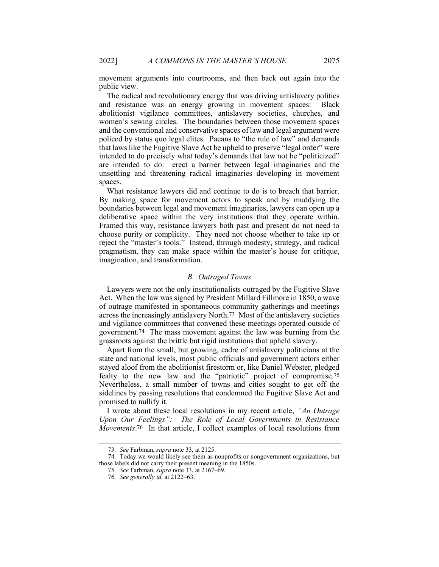movement arguments into courtrooms, and then back out again into the public view.

The radical and revolutionary energy that was driving antislavery politics and resistance was an energy growing in movement spaces: Black abolitionist vigilance committees, antislavery societies, churches, and women's sewing circles. The boundaries between those movement spaces and the conventional and conservative spaces of law and legal argument were policed by status quo legal elites. Paeans to "the rule of law" and demands that laws like the Fugitive Slave Act be upheld to preserve "legal order" were intended to do precisely what today's demands that law not be "politicized" are intended to do: erect a barrier between legal imaginaries and the unsettling and threatening radical imaginaries developing in movement spaces.

What resistance lawyers did and continue to do is to breach that barrier. By making space for movement actors to speak and by muddying the boundaries between legal and movement imaginaries, lawyers can open up a deliberative space within the very institutions that they operate within. Framed this way, resistance lawyers both past and present do not need to choose purity or complicity. They need not choose whether to take up or reject the "master's tools." Instead, through modesty, strategy, and radical pragmatism, they can make space within the master's house for critique, imagination, and transformation.

## B. Outraged Towns

Lawyers were not the only institutionalists outraged by the Fugitive Slave Act. When the law was signed by President Millard Fillmore in 1850, a wave of outrage manifested in spontaneous community gatherings and meetings across the increasingly antislavery North.73 Most of the antislavery societies and vigilance committees that convened these meetings operated outside of government.74 The mass movement against the law was burning from the grassroots against the brittle but rigid institutions that upheld slavery.

Apart from the small, but growing, cadre of antislavery politicians at the state and national levels, most public officials and government actors either stayed aloof from the abolitionist firestorm or, like Daniel Webster, pledged fealty to the new law and the "patriotic" project of compromise.75 Nevertheless, a small number of towns and cities sought to get off the sidelines by passing resolutions that condemned the Fugitive Slave Act and promised to nullify it.

I wrote about these local resolutions in my recent article, "An Outrage Upon Our Feelings": The Role of Local Governments in Resistance Movements.<sup>76</sup> In that article, I collect examples of local resolutions from

<sup>73</sup>. See Farbman, supra note 33, at 2125.

 <sup>74.</sup> Today we would likely see them as nonprofits or nongovernment organizations, but those labels did not carry their present meaning in the 1850s.

<sup>75</sup>. See Farbman, supra note 33, at 2167–69.

<sup>76</sup>. See generally id. at 2122–63.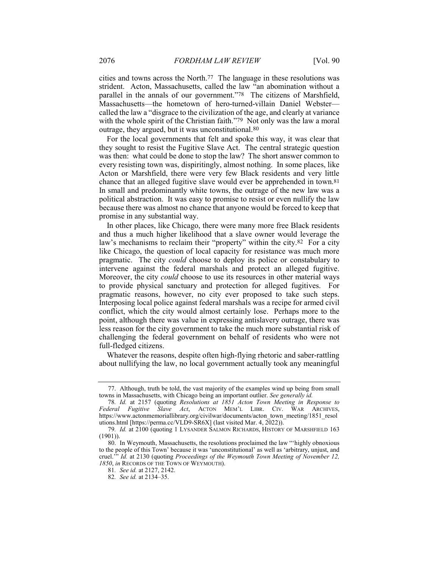cities and towns across the North.77 The language in these resolutions was strident. Acton, Massachusetts, called the law "an abomination without a parallel in the annals of our government."78 The citizens of Marshfield, Massachusetts—the hometown of hero-turned-villain Daniel Webster called the law a "disgrace to the civilization of the age, and clearly at variance with the whole spirit of the Christian faith."79 Not only was the law a moral outrage, they argued, but it was unconstitutional.80

For the local governments that felt and spoke this way, it was clear that they sought to resist the Fugitive Slave Act. The central strategic question was then: what could be done to stop the law? The short answer common to every resisting town was, dispiritingly, almost nothing. In some places, like Acton or Marshfield, there were very few Black residents and very little chance that an alleged fugitive slave would ever be apprehended in town.81 In small and predominantly white towns, the outrage of the new law was a political abstraction. It was easy to promise to resist or even nullify the law because there was almost no chance that anyone would be forced to keep that promise in any substantial way.

In other places, like Chicago, there were many more free Black residents and thus a much higher likelihood that a slave owner would leverage the law's mechanisms to reclaim their "property" within the city.82 For a city like Chicago, the question of local capacity for resistance was much more pragmatic. The city could choose to deploy its police or constabulary to intervene against the federal marshals and protect an alleged fugitive. Moreover, the city *could* choose to use its resources in other material ways to provide physical sanctuary and protection for alleged fugitives. For pragmatic reasons, however, no city ever proposed to take such steps. Interposing local police against federal marshals was a recipe for armed civil conflict, which the city would almost certainly lose. Perhaps more to the point, although there was value in expressing antislavery outrage, there was less reason for the city government to take the much more substantial risk of challenging the federal government on behalf of residents who were not full-fledged citizens.

Whatever the reasons, despite often high-flying rhetoric and saber-rattling about nullifying the law, no local government actually took any meaningful

 <sup>77.</sup> Although, truth be told, the vast majority of the examples wind up being from small towns in Massachusetts, with Chicago being an important outlier. See generally id.

<sup>78</sup>. Id. at 2157 (quoting Resolutions at 1851 Acton Town Meeting in Response to Federal Fugitive Slave Act, ACTON MEM'L LIBR. CIV. WAR ARCHIVES, https://www.actonmemoriallibrary.org/civilwar/documents/acton\_town\_meeting/1851\_resol utions.html [https://perma.cc/VLD9-SR6X] (last visited Mar. 4, 2022)).

<sup>79</sup>. Id. at 2100 (quoting 1 LYSANDER SALMON RICHARDS, HISTORY OF MARSHFIELD 163 (1901)).

 <sup>80.</sup> In Weymouth, Massachusetts, the resolutions proclaimed the law "'highly obnoxious to the people of this Town' because it was 'unconstitutional' as well as 'arbitrary, unjust, and cruel." Id. at 2130 (quoting Proceedings of the Weymouth Town Meeting of November 12, 1850, in RECORDS OF THE TOWN OF WEYMOUTH).

<sup>81</sup>. See id. at 2127, 2142.

<sup>82</sup>. See id. at 2134–35.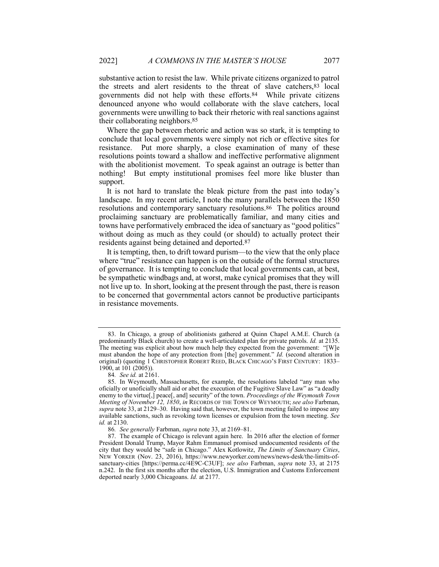substantive action to resist the law. While private citizens organized to patrol the streets and alert residents to the threat of slave catchers,83 local governments did not help with these efforts.84 While private citizens denounced anyone who would collaborate with the slave catchers, local governments were unwilling to back their rhetoric with real sanctions against their collaborating neighbors.85

Where the gap between rhetoric and action was so stark, it is tempting to conclude that local governments were simply not rich or effective sites for resistance. Put more sharply, a close examination of many of these resolutions points toward a shallow and ineffective performative alignment with the abolitionist movement. To speak against an outrage is better than nothing! But empty institutional promises feel more like bluster than support.

It is not hard to translate the bleak picture from the past into today's landscape. In my recent article, I note the many parallels between the 1850 resolutions and contemporary sanctuary resolutions.86 The politics around proclaiming sanctuary are problematically familiar, and many cities and towns have performatively embraced the idea of sanctuary as "good politics" without doing as much as they could (or should) to actually protect their residents against being detained and deported.87

It is tempting, then, to drift toward purism—to the view that the only place where "true" resistance can happen is on the outside of the formal structures of governance. It is tempting to conclude that local governments can, at best, be sympathetic windbags and, at worst, make cynical promises that they will not live up to. In short, looking at the present through the past, there is reason to be concerned that governmental actors cannot be productive participants in resistance movements.

 <sup>83.</sup> In Chicago, a group of abolitionists gathered at Quinn Chapel A.M.E. Church (a predominantly Black church) to create a well-articulated plan for private patrols. Id. at 2135. The meeting was explicit about how much help they expected from the government: "[W]e must abandon the hope of any protection from [the] government." Id. (second alteration in original) (quoting 1 CHRISTOPHER ROBERT REED, BLACK CHICAGO'S FIRST CENTURY: 1833– 1900, at 101 (2005)).

<sup>84</sup>. See id. at 2161.

 <sup>85.</sup> In Weymouth, Massachusetts, for example, the resolutions labeled "any man who oficially or unoficially shall aid or abet the execution of the Fugitive Slave Law" as "a deadly enemy to the virtue[,] peace[, and] security" of the town. Proceedings of the Weymouth Town Meeting of November 12, 1850, in RECORDS OF THE TOWN OF WEYMOUTH; see also Farbman, supra note 33, at 2129–30. Having said that, however, the town meeting failed to impose any available sanctions, such as revoking town licenses or expulsion from the town meeting. See id. at 2130.

<sup>86</sup>. See generally Farbman, supra note 33, at 2169–81.

 <sup>87.</sup> The example of Chicago is relevant again here. In 2016 after the election of former President Donald Trump, Mayor Rahm Emmanuel promised undocumented residents of the city that they would be "safe in Chicago." Alex Kotlowitz, The Limits of Sanctuary Cities, NEW YORKER (Nov. 23, 2016), https://www.newyorker.com/news/news-desk/the-limits-ofsanctuary-cities [https://perma.cc/4E9C-C3UF]; see also Farbman, supra note 33, at 2175 n.242. In the first six months after the election, U.S. Immigration and Customs Enforcement deported nearly 3,000 Chicagoans. Id. at 2177.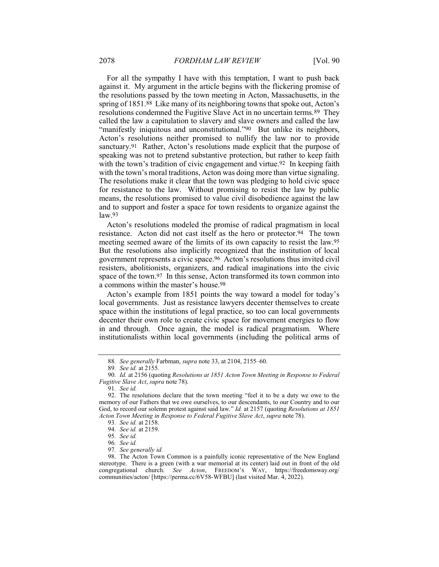For all the sympathy I have with this temptation, I want to push back against it. My argument in the article begins with the flickering promise of the resolutions passed by the town meeting in Acton, Massachusetts, in the spring of 1851.88 Like many of its neighboring towns that spoke out, Acton's resolutions condemned the Fugitive Slave Act in no uncertain terms.89 They called the law a capitulation to slavery and slave owners and called the law "manifestly iniquitous and unconstitutional."<sup>90</sup> But unlike its neighbors, Acton's resolutions neither promised to nullify the law nor to provide sanctuary.91 Rather, Acton's resolutions made explicit that the purpose of speaking was not to pretend substantive protection, but rather to keep faith with the town's tradition of civic engagement and virtue.<sup>92</sup> In keeping faith with the town's moral traditions, Acton was doing more than virtue signaling. The resolutions make it clear that the town was pledging to hold civic space for resistance to the law. Without promising to resist the law by public means, the resolutions promised to value civil disobedience against the law and to support and foster a space for town residents to organize against the law.93

Acton's resolutions modeled the promise of radical pragmatism in local resistance. Acton did not cast itself as the hero or protector.94 The town meeting seemed aware of the limits of its own capacity to resist the law.95 But the resolutions also implicitly recognized that the institution of local government represents a civic space.96 Acton's resolutions thus invited civil resisters, abolitionists, organizers, and radical imaginations into the civic space of the town.97 In this sense, Acton transformed its town common into a commons within the master's house.98

Acton's example from 1851 points the way toward a model for today's local governments. Just as resistance lawyers decenter themselves to create space within the institutions of legal practice, so too can local governments decenter their own role to create civic space for movement energies to flow in and through. Once again, the model is radical pragmatism. Where institutionalists within local governments (including the political arms of

<sup>88</sup>. See generally Farbman, supra note 33, at 2104, 2155–60.

<sup>89</sup>. See id. at 2155.

<sup>90</sup>. Id. at 2156 (quoting Resolutions at 1851 Acton Town Meeting in Response to Federal Fugitive Slave Act, supra note 78).

<sup>91</sup>. See id.

 <sup>92.</sup> The resolutions declare that the town meeting "feel it to be a duty we owe to the memory of our Fathers that we owe ourselves, to our descendants, to our Country and to our God, to record our solemn protest against said law." Id. at 2157 (quoting Resolutions at 1851) Acton Town Meeting in Response to Federal Fugitive Slave Act, supra note 78).

<sup>93</sup>. See id. at 2158.

<sup>94</sup>. See id. at 2159.

<sup>95</sup>. See id.

<sup>96</sup>. See id.

<sup>97</sup>. See generally id.

 <sup>98.</sup> The Acton Town Common is a painfully iconic representative of the New England stereotype. There is a green (with a war memorial at its center) laid out in front of the old congregational church. See Acton, FREEDOM'S WAY, https://freedomsway.org/ communities/acton/ [https://perma.cc/6V58-WFBU] (last visited Mar. 4, 2022).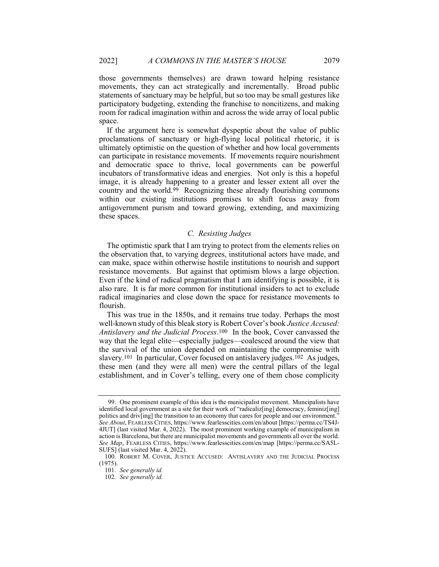those governments themselves) are drawn toward helping resistance movements, they can act strategically and incrementally. Broad public statements of sanctuary may be helpful, but so too may be small gestures like participatory budgeting, extending the franchise to noncitizens, and making room for radical imagination within and across the wide array of local public space.

If the argument here is somewhat dyspeptic about the value of public proclamations of sanctuary or high-flying local political rhetoric, it is ultimately optimistic on the question of whether and how local governments can participate in resistance movements. If movements require nourishment and democratic space to thrive, local governments can be powerful incubators of transformative ideas and energies. Not only is this a hopeful image, it is already happening to a greater and lesser extent all over the country and the world.99 Recognizing these already flourishing commons within our existing institutions promises to shift focus away from antigovernment purism and toward growing, extending, and maximizing these spaces.

# C. Resisting Judges

The optimistic spark that I am trying to protect from the elements relies on the observation that, to varying degrees, institutional actors have made, and can make, space within otherwise hostile institutions to nourish and support resistance movements. But against that optimism blows a large objection. Even if the kind of radical pragmatism that I am identifying is possible, it is also rare. It is far more common for institutional insiders to act to exclude radical imaginaries and close down the space for resistance movements to flourish.

This was true in the 1850s, and it remains true today. Perhaps the most well-known study of this bleak story is Robert Cover's book Justice Accused: Antislavery and the Judicial Process.100 In the book, Cover canvassed the way that the legal elite—especially judges—coalesced around the view that the survival of the union depended on maintaining the compromise with slavery.101 In particular, Cover focused on antislavery judges.102 As judges, these men (and they were all men) were the central pillars of the legal establishment, and in Cover's telling, every one of them chose complicity

 <sup>99.</sup> One prominent example of this idea is the municipalist movement. Muncipalists have identified local government as a site for their work of "radicaliz[ing] democracy, feminiz[ing] politics and driv[ing] the transition to an economy that cares for people and our environment." See About, FEARLESS CITIES, https://www.fearlesscities.com/en/about [https://perma.cc/TS4J-4JUT] (last visited Mar. 4, 2022). The most prominent working example of municipalism in action is Barcelona, but there are municipalist movements and governments all over the world. See Map, FEARLESS CITIES, https://www.fearlesscities.com/en/map [https://perma.cc/SA5L-SUFS] (last visited Mar. 4, 2022).

 <sup>100.</sup> ROBERT M. COVER, JUSTICE ACCUSED: ANTISLAVERY AND THE JUDICIAL PROCESS (1975).

<sup>101</sup>. See generally id.

<sup>102</sup>. See generally id.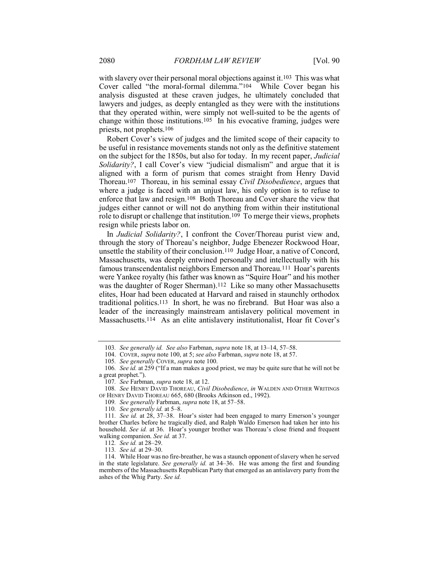with slavery over their personal moral objections against it.103 This was what Cover called "the moral-formal dilemma."104 While Cover began his analysis disgusted at these craven judges, he ultimately concluded that lawyers and judges, as deeply entangled as they were with the institutions that they operated within, were simply not well-suited to be the agents of change within those institutions.105 In his evocative framing, judges were priests, not prophets.106

Robert Cover's view of judges and the limited scope of their capacity to be useful in resistance movements stands not only as the definitive statement on the subject for the 1850s, but also for today. In my recent paper, Judicial Solidarity?, I call Cover's view "judicial dismalism" and argue that it is aligned with a form of purism that comes straight from Henry David Thoreau.107 Thoreau, in his seminal essay Civil Disobedience, argues that where a judge is faced with an unjust law, his only option is to refuse to enforce that law and resign.108 Both Thoreau and Cover share the view that judges either cannot or will not do anything from within their institutional role to disrupt or challenge that institution.109 To merge their views, prophets resign while priests labor on.

In Judicial Solidarity?, I confront the Cover/Thoreau purist view and, through the story of Thoreau's neighbor, Judge Ebenezer Rockwood Hoar, unsettle the stability of their conclusion.110 Judge Hoar, a native of Concord, Massachusetts, was deeply entwined personally and intellectually with his famous transcendentalist neighbors Emerson and Thoreau.111 Hoar's parents were Yankee royalty (his father was known as "Squire Hoar" and his mother was the daughter of Roger Sherman).<sup>112</sup> Like so many other Massachusetts elites, Hoar had been educated at Harvard and raised in staunchly orthodox traditional politics.113 In short, he was no firebrand. But Hoar was also a leader of the increasingly mainstream antislavery political movement in Massachusetts.114 As an elite antislavery institutionalist, Hoar fit Cover's

<sup>103</sup>. See generally id. See also Farbman, supra note 18, at 13–14, 57–58.

<sup>104.</sup> COVER, *supra* note 100, at 5; see also Farbman, *supra* note 18, at 57.

<sup>105</sup>. See generally COVER, supra note 100.

<sup>106</sup>. See id. at 259 ("If a man makes a good priest, we may be quite sure that he will not be a great prophet.").

<sup>107.</sup> See Farbman, supra note 18, at 12.

<sup>108.</sup> See HENRY DAVID THOREAU, Civil Disobedience, in WALDEN AND OTHER WRITINGS OF HENRY DAVID THOREAU 665, 680 (Brooks Atkinson ed., 1992).

<sup>109.</sup> See generally Farbman, supra note 18, at 57-58.

<sup>110.</sup> See generally id. at 5-8.

<sup>111</sup>. See id. at 28, 37–38. Hoar's sister had been engaged to marry Emerson's younger brother Charles before he tragically died, and Ralph Waldo Emerson had taken her into his household. See id. at 36. Hoar's younger brother was Thoreau's close friend and frequent walking companion. See id. at 37.

<sup>112</sup>. See id. at 28–29.

<sup>113</sup>. See id. at 29–30.

 <sup>114.</sup> While Hoar was no fire-breather, he was a staunch opponent of slavery when he served in the state legislature. See generally id. at 34–36. He was among the first and founding members of the Massachusetts Republican Party that emerged as an antislavery party from the ashes of the Whig Party. See id.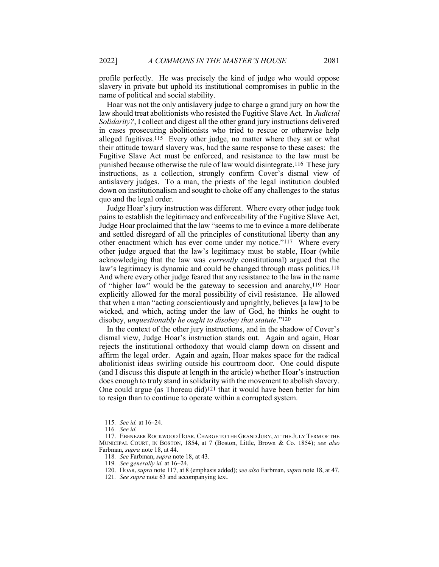profile perfectly. He was precisely the kind of judge who would oppose slavery in private but uphold its institutional compromises in public in the name of political and social stability.

Hoar was not the only antislavery judge to charge a grand jury on how the law should treat abolitionists who resisted the Fugitive Slave Act. In *Judicial* Solidarity?, I collect and digest all the other grand jury instructions delivered in cases prosecuting abolitionists who tried to rescue or otherwise help alleged fugitives.115 Every other judge, no matter where they sat or what their attitude toward slavery was, had the same response to these cases: the Fugitive Slave Act must be enforced, and resistance to the law must be punished because otherwise the rule of law would disintegrate.116 These jury instructions, as a collection, strongly confirm Cover's dismal view of antislavery judges. To a man, the priests of the legal institution doubled down on institutionalism and sought to choke off any challenges to the status quo and the legal order.

Judge Hoar's jury instruction was different. Where every other judge took pains to establish the legitimacy and enforceability of the Fugitive Slave Act, Judge Hoar proclaimed that the law "seems to me to evince a more deliberate and settled disregard of all the principles of constitutional liberty than any other enactment which has ever come under my notice."117 Where every other judge argued that the law's legitimacy must be stable, Hoar (while acknowledging that the law was currently constitutional) argued that the law's legitimacy is dynamic and could be changed through mass politics.<sup>118</sup> And where every other judge feared that any resistance to the law in the name of "higher law" would be the gateway to secession and anarchy,119 Hoar explicitly allowed for the moral possibility of civil resistance. He allowed that when a man "acting conscientiously and uprightly, believes [a law] to be wicked, and which, acting under the law of God, he thinks he ought to disobey, unquestionably he ought to disobey that statute."<sup>120</sup>

In the context of the other jury instructions, and in the shadow of Cover's dismal view, Judge Hoar's instruction stands out. Again and again, Hoar rejects the institutional orthodoxy that would clamp down on dissent and affirm the legal order. Again and again, Hoar makes space for the radical abolitionist ideas swirling outside his courtroom door. One could dispute (and I discuss this dispute at length in the article) whether Hoar's instruction does enough to truly stand in solidarity with the movement to abolish slavery. One could argue (as Thoreau did)121 that it would have been better for him to resign than to continue to operate within a corrupted system.

<sup>115</sup>. See id. at 16–24.

<sup>116</sup>. See id.

 <sup>117.</sup> EBENEZER ROCKWOOD HOAR, CHARGE TO THE GRAND JURY, AT THE JULY TERM OF THE MUNICIPAL COURT, IN BOSTON, 1854, at 7 (Boston, Little, Brown & Co. 1854); see also Farbman, supra note 18, at 44.

<sup>118</sup>. See Farbman, supra note 18, at 43.

<sup>119</sup>. See generally id. at 16–24.

<sup>120.</sup> HOAR, supra note 117, at 8 (emphasis added); see also Farbman, supra note 18, at 47.

<sup>121.</sup> See supra note 63 and accompanying text.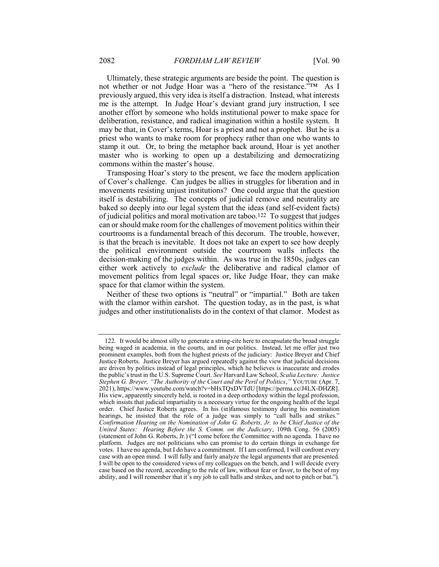Ultimately, these strategic arguments are beside the point. The question is not whether or not Judge Hoar was a "hero of the resistance."TM As I previously argued, this very idea is itself a distraction. Instead, what interests me is the attempt. In Judge Hoar's deviant grand jury instruction, I see another effort by someone who holds institutional power to make space for deliberation, resistance, and radical imagination within a hostile system. It may be that, in Cover's terms, Hoar is a priest and not a prophet. But he is a priest who wants to make room for prophecy rather than one who wants to stamp it out. Or, to bring the metaphor back around, Hoar is yet another master who is working to open up a destabilizing and democratizing commons within the master's house.

Transposing Hoar's story to the present, we face the modern application of Cover's challenge. Can judges be allies in struggles for liberation and in movements resisting unjust institutions? One could argue that the question itself is destabilizing. The concepts of judicial remove and neutrality are baked so deeply into our legal system that the ideas (and self-evident facts) of judicial politics and moral motivation are taboo.122 To suggest that judges can or should make room for the challenges of movement politics within their courtrooms is a fundamental breach of this decorum. The trouble, however, is that the breach is inevitable. It does not take an expert to see how deeply the political environment outside the courtroom walls inflects the decision-making of the judges within. As was true in the 1850s, judges can either work actively to exclude the deliberative and radical clamor of movement politics from legal spaces or, like Judge Hoar, they can make space for that clamor within the system.

Neither of these two options is "neutral" or "impartial." Both are taken with the clamor within earshot. The question today, as in the past, is what judges and other institutionalists do in the context of that clamor. Modest as

 <sup>122.</sup> It would be almost silly to generate a string-cite here to encapsulate the broad struggle being waged in academia, in the courts, and in our politics. Instead, let me offer just two prominent examples, both from the highest priests of the judiciary: Justice Breyer and Chief Justice Roberts. Justice Breyer has argued repeatedly against the view that judicial decisions are driven by politics instead of legal principles, which he believes is inaccurate and erodes the public's trust in the U.S. Supreme Court. See Harvard Law School, Scalia Lecture: Justice Stephen G. Breyer, "The Authority of the Court and the Peril of Politics," YOUTUBE (Apr. 7, 2021), https://www.youtube.com/watch?v=bHxTQxDVTdU [https://perma.cc/J4LX-DHZR]. His view, apparently sincerely held, is rooted in a deep orthodoxy within the legal profession, which insists that judicial impartiality is a necessary virtue for the ongoing health of the legal order. Chief Justice Roberts agrees. In his (in)famous testimony during his nomination hearings, he insisted that the role of a judge was simply to "call balls and strikes." Confirmation Hearing on the Nomination of John G. Roberts, Jr. to be Chief Justice of the United States: Hearing Before the S. Comm. on the Judiciary, 109th Cong. 56 (2005) (statement of John G. Roberts, Jr.) ("I come before the Committee with no agenda. I have no platform. Judges are not politicians who can promise to do certain things in exchange for votes. I have no agenda, but I do have a commitment. If I am confirmed, I will confront every case with an open mind. I will fully and fairly analyze the legal arguments that are presented. I will be open to the considered views of my colleagues on the bench, and I will decide every case based on the record, according to the rule of law, without fear or favor, to the best of my ability, and I will remember that it's my job to call balls and strikes, and not to pitch or bat.").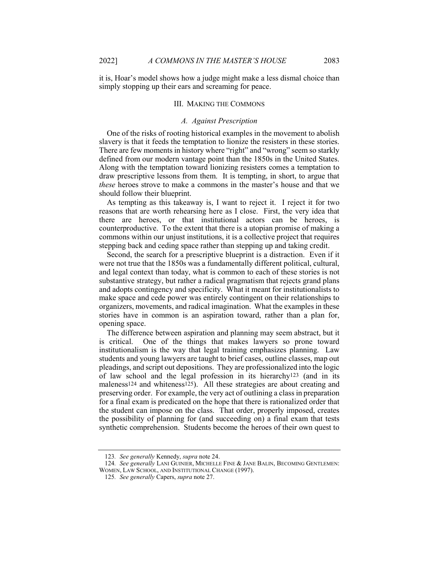it is, Hoar's model shows how a judge might make a less dismal choice than simply stopping up their ears and screaming for peace.

#### III. MAKING THE COMMONS

#### A. Against Prescription

One of the risks of rooting historical examples in the movement to abolish slavery is that it feeds the temptation to lionize the resisters in these stories. There are few moments in history where "right" and "wrong" seem so starkly defined from our modern vantage point than the 1850s in the United States. Along with the temptation toward lionizing resisters comes a temptation to draw prescriptive lessons from them. It is tempting, in short, to argue that these heroes strove to make a commons in the master's house and that we should follow their blueprint.

As tempting as this takeaway is, I want to reject it. I reject it for two reasons that are worth rehearsing here as I close. First, the very idea that there are heroes, or that institutional actors can be heroes, is counterproductive. To the extent that there is a utopian promise of making a commons within our unjust institutions, it is a collective project that requires stepping back and ceding space rather than stepping up and taking credit.

Second, the search for a prescriptive blueprint is a distraction. Even if it were not true that the 1850s was a fundamentally different political, cultural, and legal context than today, what is common to each of these stories is not substantive strategy, but rather a radical pragmatism that rejects grand plans and adopts contingency and specificity. What it meant for institutionalists to make space and cede power was entirely contingent on their relationships to organizers, movements, and radical imagination. What the examples in these stories have in common is an aspiration toward, rather than a plan for, opening space.

The difference between aspiration and planning may seem abstract, but it is critical. One of the things that makes lawyers so prone toward institutionalism is the way that legal training emphasizes planning. Law students and young lawyers are taught to brief cases, outline classes, map out pleadings, and script out depositions. They are professionalized into the logic of law school and the legal profession in its hierarchy123 (and in its maleness<sup>124</sup> and whiteness<sup>125</sup>). All these strategies are about creating and preserving order. For example, the very act of outlining a class in preparation for a final exam is predicated on the hope that there is rationalized order that the student can impose on the class. That order, properly imposed, creates the possibility of planning for (and succeeding on) a final exam that tests synthetic comprehension. Students become the heroes of their own quest to

<sup>123</sup>. See generally Kennedy, supra note 24.

<sup>124.</sup> See generally LANI GUINIER, MICHELLE FINE & JANE BALIN, BECOMING GENTLEMEN: WOMEN, LAW SCHOOL, AND INSTITUTIONAL CHANGE (1997).

<sup>125</sup>. See generally Capers, supra note 27.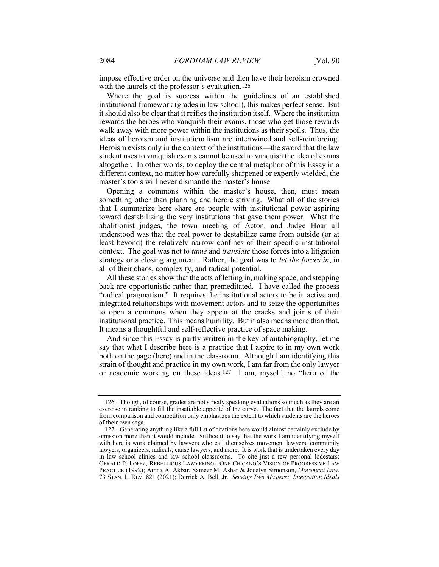impose effective order on the universe and then have their heroism crowned with the laurels of the professor's evaluation.126

Where the goal is success within the guidelines of an established institutional framework (grades in law school), this makes perfect sense. But it should also be clear that it reifies the institution itself. Where the institution rewards the heroes who vanquish their exams, those who get those rewards walk away with more power within the institutions as their spoils. Thus, the ideas of heroism and institutionalism are intertwined and self-reinforcing. Heroism exists only in the context of the institutions—the sword that the law student uses to vanquish exams cannot be used to vanquish the idea of exams altogether. In other words, to deploy the central metaphor of this Essay in a different context, no matter how carefully sharpened or expertly wielded, the master's tools will never dismantle the master's house.

Opening a commons within the master's house, then, must mean something other than planning and heroic striving. What all of the stories that I summarize here share are people with institutional power aspiring toward destabilizing the very institutions that gave them power. What the abolitionist judges, the town meeting of Acton, and Judge Hoar all understood was that the real power to destabilize came from outside (or at least beyond) the relatively narrow confines of their specific institutional context. The goal was not to tame and translate those forces into a litigation strategy or a closing argument. Rather, the goal was to let the forces in, in all of their chaos, complexity, and radical potential.

All these stories show that the acts of letting in, making space, and stepping back are opportunistic rather than premeditated. I have called the process "radical pragmatism." It requires the institutional actors to be in active and integrated relationships with movement actors and to seize the opportunities to open a commons when they appear at the cracks and joints of their institutional practice. This means humility. But it also means more than that. It means a thoughtful and self-reflective practice of space making.

And since this Essay is partly written in the key of autobiography, let me say that what I describe here is a practice that I aspire to in my own work both on the page (here) and in the classroom. Although I am identifying this strain of thought and practice in my own work, I am far from the only lawyer or academic working on these ideas.127 I am, myself, no "hero of the

 <sup>126.</sup> Though, of course, grades are not strictly speaking evaluations so much as they are an exercise in ranking to fill the insatiable appetite of the curve. The fact that the laurels come from comparison and competition only emphasizes the extent to which students are the heroes of their own saga.

 <sup>127.</sup> Generating anything like a full list of citations here would almost certainly exclude by omission more than it would include. Suffice it to say that the work I am identifying myself with here is work claimed by lawyers who call themselves movement lawyers, community lawyers, organizers, radicals, cause lawyers, and more. It is work that is undertaken every day in law school clinics and law school classrooms. To cite just a few personal lodestars: GERALD P. LÓPEZ, REBELLIOUS LAWYERING: ONE CHICANO'S VISION OF PROGRESSIVE LAW PRACTICE (1992); Amna A. Akbar, Sameer M. Ashar & Jocelyn Simonson, Movement Law, 73 STAN. L. REV. 821 (2021); Derrick A. Bell, Jr., Serving Two Masters: Integration Ideals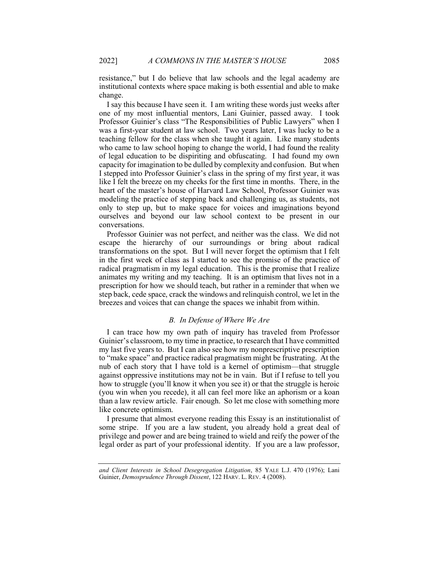resistance," but I do believe that law schools and the legal academy are institutional contexts where space making is both essential and able to make change.

I say this because I have seen it. I am writing these words just weeks after one of my most influential mentors, Lani Guinier, passed away. I took Professor Guinier's class "The Responsibilities of Public Lawyers" when I was a first-year student at law school. Two years later, I was lucky to be a teaching fellow for the class when she taught it again. Like many students who came to law school hoping to change the world, I had found the reality of legal education to be dispiriting and obfuscating. I had found my own capacity for imagination to be dulled by complexity and confusion. But when I stepped into Professor Guinier's class in the spring of my first year, it was like I felt the breeze on my cheeks for the first time in months. There, in the heart of the master's house of Harvard Law School, Professor Guinier was modeling the practice of stepping back and challenging us, as students, not only to step up, but to make space for voices and imaginations beyond ourselves and beyond our law school context to be present in our conversations.

Professor Guinier was not perfect, and neither was the class. We did not escape the hierarchy of our surroundings or bring about radical transformations on the spot. But I will never forget the optimism that I felt in the first week of class as I started to see the promise of the practice of radical pragmatism in my legal education. This is the promise that I realize animates my writing and my teaching. It is an optimism that lives not in a prescription for how we should teach, but rather in a reminder that when we step back, cede space, crack the windows and relinquish control, we let in the breezes and voices that can change the spaces we inhabit from within.

# B. In Defense of Where We Are

I can trace how my own path of inquiry has traveled from Professor Guinier's classroom, to my time in practice, to research that I have committed my last five years to. But I can also see how my nonprescriptive prescription to "make space" and practice radical pragmatism might be frustrating. At the nub of each story that I have told is a kernel of optimism—that struggle against oppressive institutions may not be in vain. But if I refuse to tell you how to struggle (you'll know it when you see it) or that the struggle is heroic (you win when you recede), it all can feel more like an aphorism or a koan than a law review article. Fair enough. So let me close with something more like concrete optimism.

I presume that almost everyone reading this Essay is an institutionalist of some stripe. If you are a law student, you already hold a great deal of privilege and power and are being trained to wield and reify the power of the legal order as part of your professional identity. If you are a law professor,

and Client Interests in School Desegregation Litigation, 85 YALE L.J. 470 (1976); Lani Guinier, Demosprudence Through Dissent, 122 HARV. L. REV. 4 (2008).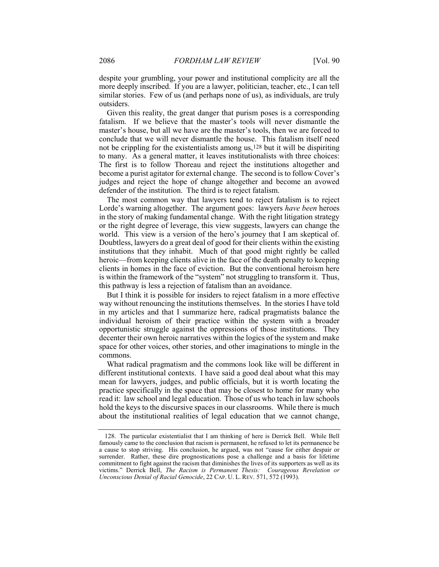despite your grumbling, your power and institutional complicity are all the more deeply inscribed. If you are a lawyer, politician, teacher, etc., I can tell similar stories. Few of us (and perhaps none of us), as individuals, are truly outsiders.

Given this reality, the great danger that purism poses is a corresponding fatalism. If we believe that the master's tools will never dismantle the master's house, but all we have are the master's tools, then we are forced to conclude that we will never dismantle the house. This fatalism itself need not be crippling for the existentialists among us,128 but it will be dispiriting to many. As a general matter, it leaves institutionalists with three choices: The first is to follow Thoreau and reject the institutions altogether and become a purist agitator for external change. The second is to follow Cover's judges and reject the hope of change altogether and become an avowed defender of the institution. The third is to reject fatalism.

The most common way that lawyers tend to reject fatalism is to reject Lorde's warning altogether. The argument goes: lawyers have been heroes in the story of making fundamental change. With the right litigation strategy or the right degree of leverage, this view suggests, lawyers can change the world. This view is a version of the hero's journey that I am skeptical of. Doubtless, lawyers do a great deal of good for their clients within the existing institutions that they inhabit. Much of that good might rightly be called heroic—from keeping clients alive in the face of the death penalty to keeping clients in homes in the face of eviction. But the conventional heroism here is within the framework of the "system" not struggling to transform it. Thus, this pathway is less a rejection of fatalism than an avoidance.

But I think it is possible for insiders to reject fatalism in a more effective way without renouncing the institutions themselves. In the stories I have told in my articles and that I summarize here, radical pragmatists balance the individual heroism of their practice within the system with a broader opportunistic struggle against the oppressions of those institutions. They decenter their own heroic narratives within the logics of the system and make space for other voices, other stories, and other imaginations to mingle in the commons.

What radical pragmatism and the commons look like will be different in different institutional contexts. I have said a good deal about what this may mean for lawyers, judges, and public officials, but it is worth locating the practice specifically in the space that may be closest to home for many who read it: law school and legal education. Those of us who teach in law schools hold the keys to the discursive spaces in our classrooms. While there is much about the institutional realities of legal education that we cannot change,

 <sup>128.</sup> The particular existentialist that I am thinking of here is Derrick Bell. While Bell famously came to the conclusion that racism is permanent, he refused to let its permanence be a cause to stop striving. His conclusion, he argued, was not "cause for either despair or surrender. Rather, these dire prognostications pose a challenge and a basis for lifetime commitment to fight against the racism that diminishes the lives of its supporters as well as its victims." Derrick Bell, The Racism is Permanent Thesis: Courageous Revelation or Unconscious Denial of Racial Genocide, 22 CAP. U. L. REV. 571, 572 (1993).